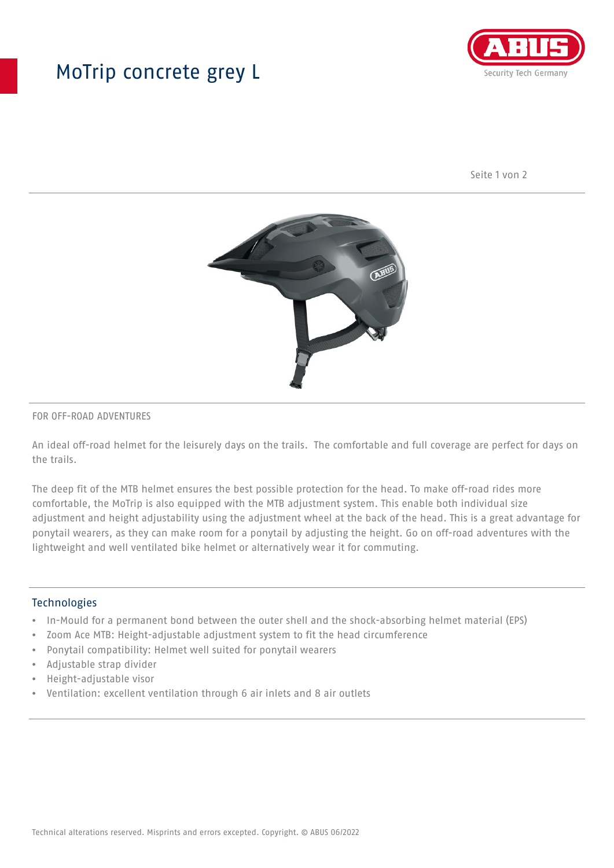## MoTrip concrete grey L



Seite 1 von 2



#### FOR OFF-ROAD ADVENTURES

An ideal off-road helmet for the leisurely days on the trails. The comfortable and full coverage are perfect for days on the trails.

The deep fit of the MTB helmet ensures the best possible protection for the head. To make off-road rides more comfortable, the MoTrip is also equipped with the MTB adjustment system. This enable both individual size adjustment and height adjustability using the adjustment wheel at the back of the head. This is a great advantage for ponytail wearers, as they can make room for a ponytail by adjusting the height. Go on off-road adventures with the lightweight and well ventilated bike helmet or alternatively wear it for commuting.

### Technologies

- In-Mould for a permanent bond between the outer shell and the shock-absorbing helmet material (EPS)
- Zoom Ace MTB: Height-adjustable adjustment system to fit the head circumference
- Ponytail compatibility: Helmet well suited for ponytail wearers
- Adjustable strap divider
- Height-adjustable visor
- Ventilation: excellent ventilation through 6 air inlets and 8 air outlets